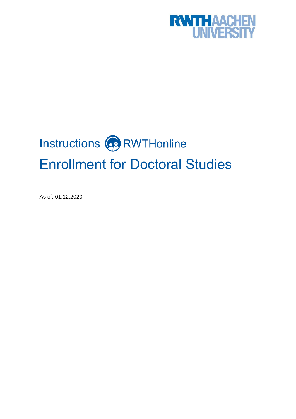

# Instructions **B** RWTHonline Enrollment for Doctoral Studies

As of: 01.12.2020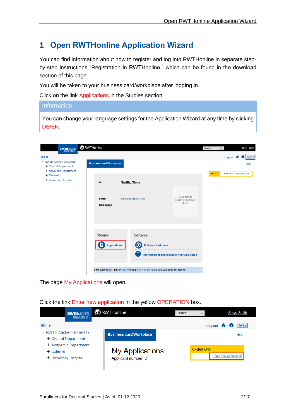# **1 Open RWTHonline Application Wizard**

You can find information about how to register and log into RWTHonline in separate stepby-step instructions "Registration in RWTHonline," which can be found in the download section of this page.

You will be taken to your business card/workplace after logging in.

Click on the link Applications in the Studies section.

## **Information**

You can change your language settings for the Application Wizard at any time by clicking DE/EN.

| <b>RWTHAACHEN</b><br>UNIVERSITY<br> 日 ←<br>- RWTH Aachen University                  | <b>B</b> RWTHonline                        |                                                                                                                                                                                         |                                            | Search        | $\overline{\mathbf{v}}$<br>Log-out $\bigwedge$ | <b>Steve Smith</b><br>De/En<br>O  |
|--------------------------------------------------------------------------------------|--------------------------------------------|-----------------------------------------------------------------------------------------------------------------------------------------------------------------------------------------|--------------------------------------------|---------------|------------------------------------------------|-----------------------------------|
| + Central Department<br>+ Academic Department<br>+ External<br>+ University Hospital | <b>Business card/Workplace</b><br>Mr.      | Smith, Steve                                                                                                                                                                            |                                            | <b>SELECT</b> |                                                | Help<br>Detail view Extended view |
|                                                                                      | Email<br>Homepage<br>٠                     | stevesmith@email.de                                                                                                                                                                     | Your picture<br>could be displayed<br>here |               |                                                |                                   |
|                                                                                      | <b>Studies</b><br>P<br><b>Applications</b> | <b>Services</b><br>Edit e-mail address<br>KO)<br><b>Information about Application for Admission</b><br>Last login:16.05.2019 (11:02:42) from 134.130.0.162 (itc18096.rz.rwth-aachen.de) |                                            |               |                                                |                                   |

The page My Applications will open.

## Click the link Enter new application in the yellow OPERATION box.

| <b>RWTHAACHEN</b><br>UNIVERSITY       | <b>B</b> RWTHonline            | Search<br>$\checkmark$ | <b>Steve Smith</b>                     |  |
|---------------------------------------|--------------------------------|------------------------|----------------------------------------|--|
| 旧卡<br>- RWTH Aachen University        |                                |                        | De/En<br>Log-out $\bigcirc$ $\bigcirc$ |  |
| + Central Department                  | <b>Business card/Workplace</b> | Help                   |                                        |  |
| + Academic Department<br>$+$ External | <b>My Applications</b>         | <b>OPERATIONS</b>      |                                        |  |
| + University Hospital                 | Applicant number: 2-           |                        | Enter new application                  |  |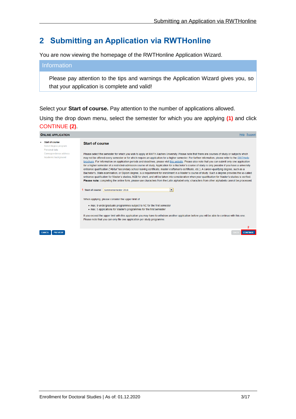# **2 Submitting an Application via RWTHonline**

You are now viewing the homepage of the RWTHonline Application Wizard.

## **Information**

Please pay attention to the tips and warnings the Application Wizard gives you, so that your application is complete and valid!

Select your **Start of course.** Pay attention to the number of applications allowed.

Using the drop down menu, select the semester for which you are applying **(1)** and click CONTINUE **(2)**.

| <b>ONLINE APPLICATION</b>                                   | <b>Help Support</b>                                                                                                                                                                                                                                                                                                                                                                                                                                                                                                                                                                                                                                                                                                                                                                                                                                                                                                                                                                                                                                                                                                                                                                                                                                                                                                                                                            |
|-------------------------------------------------------------|--------------------------------------------------------------------------------------------------------------------------------------------------------------------------------------------------------------------------------------------------------------------------------------------------------------------------------------------------------------------------------------------------------------------------------------------------------------------------------------------------------------------------------------------------------------------------------------------------------------------------------------------------------------------------------------------------------------------------------------------------------------------------------------------------------------------------------------------------------------------------------------------------------------------------------------------------------------------------------------------------------------------------------------------------------------------------------------------------------------------------------------------------------------------------------------------------------------------------------------------------------------------------------------------------------------------------------------------------------------------------------|
| · Start of course<br>Select degree program<br>Personal data | <b>Start of course</b>                                                                                                                                                                                                                                                                                                                                                                                                                                                                                                                                                                                                                                                                                                                                                                                                                                                                                                                                                                                                                                                                                                                                                                                                                                                                                                                                                         |
| Correspondence address<br>Academic background               | Please select the semester for which you wish to apply at RWTH Aachen University. Please note that there are courses of study or subjects which<br>may not be offered every semester or for which require an application for a higher semester. For further information, please refer to the RWTHinfo<br>brochure. For information on application periods and deadlines, please visit this website. Please also note that you can submit only one application<br>for a higher semester of a restricted-admission course of study. Application for a Bachelor's course of study is only possible if you have a university<br>entrance qualification ("Abitur"/secondary school leaving certificate, master craftsman's certificate, etc.). A career-qualifying degree, such as a<br>Bachelor's, State examination, or Diplom degree, is a requirement for enrollment in a Master's course of study. Such a degree provides the so-called<br>entrance qualification for Master's studies, MZB for short, and will be taken into consideration when your qualification for Master's studies is verified.<br>Please note: completing the online form, please use characters from the Latin alphabet only; characters from other alphabets cannot be processed.<br>$\blacktriangledown$<br>Start of course Sommersemester 2018<br>When applying, please consider the upper limit of |
|                                                             | • max. 9 undergraduate programmes subject to NC for the first semester<br>• max. 5 applications for Master's programmes for the first semester                                                                                                                                                                                                                                                                                                                                                                                                                                                                                                                                                                                                                                                                                                                                                                                                                                                                                                                                                                                                                                                                                                                                                                                                                                 |
|                                                             | If you exceed the upper limit with this application you may have to withdraw another application before you will be able to continue with this one.<br>Please note that you can only file one application per study programme.                                                                                                                                                                                                                                                                                                                                                                                                                                                                                                                                                                                                                                                                                                                                                                                                                                                                                                                                                                                                                                                                                                                                                 |
| <b>CANCEL</b><br><b>PREVIEW</b>                             | <b>CONTINU</b>                                                                                                                                                                                                                                                                                                                                                                                                                                                                                                                                                                                                                                                                                                                                                                                                                                                                                                                                                                                                                                                                                                                                                                                                                                                                                                                                                                 |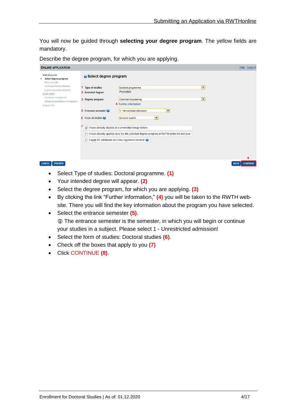You will now be guided through **selecting your degree program**. The yellow fields are mandatory.

Describe the degree program, for which you are applying.

| <b>ONLINE APPLICATION</b>                                               |                                                          |                                                                                                       |                          | Help Support    |
|-------------------------------------------------------------------------|----------------------------------------------------------|-------------------------------------------------------------------------------------------------------|--------------------------|-----------------|
| Start of course<br>Select degree program<br>Personal data               | Select degree program                                    |                                                                                                       |                          |                 |
| Correspondence address<br>Higher education entrance<br>qualification    | 1 Type of studies<br>2 Intended degree                   | Doctoral programme<br>Promotion                                                                       | $\overline{\phantom{a}}$ |                 |
| Academic background<br>entrance qualification for Master's<br>programme | 3 Degree program                                         | <b>Chemical Engineering</b><br>4 Further information                                                  | $\overline{\phantom{a}}$ |                 |
|                                                                         | <b>5</b> Entrance semester<br>6 Form of studies          | $\blacktriangledown$<br>1 - Unrestricted admission<br>$\blacktriangledown$<br><b>Doctoral studies</b> |                          |                 |
|                                                                         | v I have already studied at a university/college before. |                                                                                                       |                          |                 |
|                                                                         | I apply for admission as cross-registered student.       | I have already applied once for the selected degree program at RWTH within the last year.             |                          |                 |
|                                                                         |                                                          |                                                                                                       |                          |                 |
|                                                                         |                                                          |                                                                                                       |                          | 8               |
| <b>CANCEL</b><br><b>PREVIEW</b>                                         |                                                          |                                                                                                       | <b>BACK</b>              | <b>CONTINUE</b> |

- Select Type of studies: Doctoral programme. **(1)**
- Your intended degree will appear. **(2)**
- Select the degree program, for which you are applying. **(3)**
- By clicking the link "Further information," **(4)** you will be taken to the RWTH website. There you will find the key information about the program you have selected.
- Select the entrance semester **(5)**. The entrance semester is the semester, in which you will begin or continue your studies in a subject. Please select 1 - Unrestricted admission!
- Select the form of studies: Doctoral studies **(6)**.
- Check off the boxes that apply to you **(7)**
- Click CONTINUE **(8)**.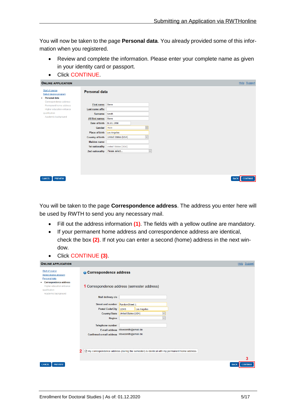You will now be taken to the page **Personal data**. You already provided some of this information when you registered.

- Review and complete the information. Please enter your complete name as given in your identity card or passport.
- Click CONTINUE.

| <b>ONLINE APPLICATION</b>                                          |                         | Help Support                               |  |
|--------------------------------------------------------------------|-------------------------|--------------------------------------------|--|
| <b>Start of course</b><br>Select degree program<br>• Personal data | <b>Personal data</b>    |                                            |  |
| Correspondence address<br>Permanent home address                   | First name Steve        |                                            |  |
| Higher education entrance                                          | Last name affix         |                                            |  |
| qualification                                                      | <b>Surname</b>          | Smith                                      |  |
| Academic background                                                | <b>All first names</b>  | <b>Steve</b>                               |  |
|                                                                    | Date of birth           | 01.01.1990                                 |  |
|                                                                    | Gender                  | Male                                       |  |
|                                                                    | Place of birth          | Los Angeles                                |  |
|                                                                    | <b>Country of birth</b> | <b>United States (USA)</b><br>$\checkmark$ |  |
|                                                                    | <b>Maiden name</b>      |                                            |  |
|                                                                    | 1st nationality         | United States (USA)                        |  |
|                                                                    | 2nd nationality         | Please select<br>$\vert$ $\vee$            |  |
|                                                                    |                         |                                            |  |
| <b>PREVIEW</b><br><b>CANCEL</b>                                    |                         | <b>CONTINUE</b><br><b>BACK</b>             |  |

You will be taken to the page **Correspondence address**. The address you enter here will be used by RWTH to send you any necessary mail.

- Fill out the address information **(1)**. The fields with a yellow outline are mandatory.
- If your permanent home address and correspondence address are identical, check the box **(2)**. If not you can enter a second (home) address in the next window.
- Click CONTINUE **(3)**.

| <b>ONLINE APPLICATION</b>                                                                            |                                              |                                                                                                               | Help Support    |
|------------------------------------------------------------------------------------------------------|----------------------------------------------|---------------------------------------------------------------------------------------------------------------|-----------------|
| Start of course<br>Select degree program<br>Personal data                                            | <b>Correspondence address</b>                |                                                                                                               |                 |
| • Correspondence address<br><b>Higher education entrance</b><br>qualification<br>Academic background |                                              | 1 Correspondence address (semester address)                                                                   |                 |
|                                                                                                      | Mail delivery c/o                            |                                                                                                               |                 |
|                                                                                                      | <b>Street and number</b>                     | RandomStreet 1                                                                                                |                 |
|                                                                                                      | <b>Postal Code/City</b>                      | 12345<br>Los Angeles                                                                                          |                 |
|                                                                                                      | <b>Country/State</b>                         | United States (USA)<br>$\smallsmile$                                                                          |                 |
|                                                                                                      | <b>Region</b>                                | $\checkmark$                                                                                                  |                 |
|                                                                                                      | <b>Telephone number</b>                      |                                                                                                               |                 |
|                                                                                                      |                                              | E-mail address stevesmith@email.de                                                                            |                 |
|                                                                                                      | Confirmed e-mail address stevesmith@email.de | $\triangleright$ My correspondence address (during the semester) is identical with my permanent home address. |                 |
|                                                                                                      |                                              |                                                                                                               | 3               |
| <b>PREVIEW</b><br><b>CANCEL</b>                                                                      |                                              | <b>BACK</b>                                                                                                   | <b>CONTINUE</b> |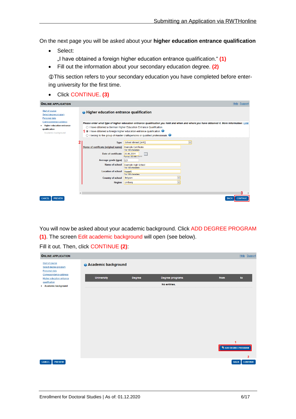On the next page you will be asked about your **higher education entrance qualification**

- Select: "I have obtained a foreign higher education entrance qualification." **(1)**
- Fill out the information about your secondary education degree. **(2)**

This section refers to your secondary education you have completed before entering university for the first time.

Click CONTINUE. **(3)**

| <b>ONLINE APPLICATION</b>                                                                     |            |                                                  |                                                                                                                                                                                                                                       | Help Support                                                                                                                               |
|-----------------------------------------------------------------------------------------------|------------|--------------------------------------------------|---------------------------------------------------------------------------------------------------------------------------------------------------------------------------------------------------------------------------------------|--------------------------------------------------------------------------------------------------------------------------------------------|
| Start of course<br>Select degree program<br>Personal data                                     |            | <b>O</b> Higher education entrance qualification |                                                                                                                                                                                                                                       |                                                                                                                                            |
| Correspondence address<br>· Higher education entrance<br>qualification<br>Academic background |            |                                                  | ○ I have obtained a German Higher Education Entrance Qualification.<br>1 . I have obtained a foreign higher education entrance qualification.<br>$\bigcirc$ I belong to the group of master craftspersons or qualified professionals. | Please enter what type of higher education entrance qualification you hold and when and where you have obtained it. More information: Link |
|                                                                                               |            | <b>Type</b>                                      | School abroad [aHR]                                                                                                                                                                                                                   | $\check{ }$                                                                                                                                |
|                                                                                               |            | Name of certificate (original name)              | <b>Example Certificate</b>                                                                                                                                                                                                            |                                                                                                                                            |
|                                                                                               |            | Date of certificate                              | 1 to 100 characters<br>Em<br>20.06.2014<br>Format: DD.MM.YYYY                                                                                                                                                                         |                                                                                                                                            |
|                                                                                               |            | Average grade (gpa) 2,3                          |                                                                                                                                                                                                                                       |                                                                                                                                            |
|                                                                                               |            | Name of school                                   | <b>Example High School</b>                                                                                                                                                                                                            |                                                                                                                                            |
|                                                                                               |            | <b>Location of school</b>                        | 1 to 100 characters<br><b>Hasselt</b><br>1 to 100 characters                                                                                                                                                                          |                                                                                                                                            |
|                                                                                               |            | <b>Country of school</b>                         | <b>Belgium</b><br>$\checkmark$                                                                                                                                                                                                        |                                                                                                                                            |
|                                                                                               |            | Region                                           | Limburg<br>$\checkmark$                                                                                                                                                                                                               |                                                                                                                                            |
|                                                                                               |            |                                                  |                                                                                                                                                                                                                                       |                                                                                                                                            |
|                                                                                               | $\epsilon$ |                                                  |                                                                                                                                                                                                                                       |                                                                                                                                            |
| <b>PREVIEW</b>                                                                                |            |                                                  |                                                                                                                                                                                                                                       | <b>BACK</b><br><b>CONTINU</b>                                                                                                              |

You will now be asked about your academic background. Click ADD DEGREE PROGRAM **(1)**. The screen Edit academic background will open (see below).

Fill it out. Then, click CONTINUE **(2)**:

| <b>ONLINE APPLICATION</b>                                  |                            |               |                 | Help Support                                     |  |
|------------------------------------------------------------|----------------------------|---------------|-----------------|--------------------------------------------------|--|
| Start of course<br>Select degree program<br>Personal data  | <b>Academic background</b> |               |                 |                                                  |  |
| Correspondence address<br><b>Higher education entrance</b> | <b>University</b>          | <b>Degree</b> | Degree programs | from<br>to                                       |  |
| qualification<br>• Academic background                     |                            |               | No entries.     |                                                  |  |
|                                                            |                            |               |                 |                                                  |  |
|                                                            |                            |               |                 |                                                  |  |
|                                                            |                            |               |                 |                                                  |  |
|                                                            |                            |               |                 |                                                  |  |
|                                                            |                            |               |                 |                                                  |  |
|                                                            |                            |               |                 |                                                  |  |
|                                                            |                            |               |                 |                                                  |  |
|                                                            |                            |               |                 | 1<br><b>Fa ADD DEGREE PROGRAM</b>                |  |
|                                                            |                            |               |                 |                                                  |  |
| <b>PREVIEW</b><br><b>CANCEL</b>                            |                            |               |                 | $\overline{2}$<br><b>CONTINUE</b><br><b>BACK</b> |  |
|                                                            |                            |               |                 |                                                  |  |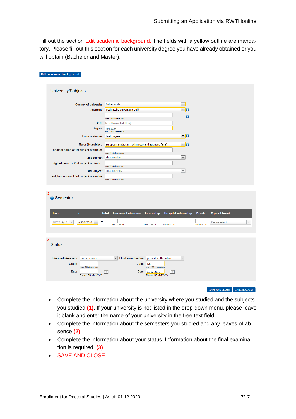Fill out the section Edit academic background. The fields with a yellow outline are mandatory. Please fill out this section for each university degree you have already obtained or you will obtain (Bachelor and Master).

| Edit academic background                                           |                                                   |                                            |                                            |                             |                          |
|--------------------------------------------------------------------|---------------------------------------------------|--------------------------------------------|--------------------------------------------|-----------------------------|--------------------------|
|                                                                    |                                                   |                                            |                                            |                             |                          |
| 1                                                                  |                                                   |                                            |                                            |                             |                          |
| University/Subjects                                                |                                                   |                                            |                                            |                             |                          |
|                                                                    |                                                   |                                            |                                            |                             |                          |
| <b>Country of university</b>                                       | Netherlands                                       |                                            | $\blacktriangledown$                       |                             |                          |
| <b>University</b>                                                  | Technische Universiteit Delft                     |                                            | $\mathbf{\mathsf{F}}_0$                    |                             |                          |
|                                                                    |                                                   |                                            |                                            |                             |                          |
|                                                                    | max. 100 characters                               |                                            | ō                                          |                             |                          |
| <b>URL</b>                                                         | http://www.tudelft.nl/                            |                                            |                                            |                             |                          |
| <b>Degree</b>                                                      | <b>Test1234</b><br>max. 100 characters            |                                            |                                            |                             |                          |
| Form of studies                                                    | First degree                                      |                                            | $\overline{\phantom{a}}$                   |                             |                          |
| Major (1st subject)                                                | European Studies in Technology and Business (ETB) |                                            | <b>TO</b>                                  |                             |                          |
| original name of 1st subject of studies                            |                                                   |                                            |                                            |                             |                          |
|                                                                    | max. 110 characters                               |                                            |                                            |                             |                          |
| 2nd subject                                                        | Please select                                     |                                            | $\blacktriangledown$                       |                             |                          |
| original name of 2nd subject of studies                            | max. 110 characters                               |                                            |                                            |                             |                          |
| 3rd Subject                                                        | Please select                                     |                                            | $\overline{\phantom{a}}$                   |                             |                          |
| original name of 3rd subject of studies                            | max. 110 characters                               |                                            |                                            |                             |                          |
|                                                                    |                                                   |                                            |                                            |                             |                          |
|                                                                    |                                                   |                                            |                                            |                             |                          |
| $\overline{2}$                                                     |                                                   |                                            |                                            |                             |                          |
| <b>G</b> Semester                                                  |                                                   |                                            |                                            |                             |                          |
|                                                                    |                                                   |                                            |                                            |                             |                          |
| from<br>to                                                         | <b>Leaves of absence</b><br>total                 | Internship                                 | <b>Hospital internship</b><br><b>Break</b> | <b>Type of break</b>        |                          |
|                                                                    |                                                   |                                            |                                            |                             |                          |
| WS2014/15<br>$WS2017/18$ $\bullet$<br>$\overline{\mathbf{v}}$<br>7 | from 0 to 20                                      | from 0 to 20<br>from 0 to 20               | from 0 to 20                               | Please select               | $\overline{\phantom{a}}$ |
|                                                                    |                                                   |                                            |                                            |                             |                          |
|                                                                    |                                                   |                                            |                                            |                             |                          |
| 3                                                                  |                                                   |                                            |                                            |                             |                          |
| <b>Status</b>                                                      |                                                   |                                            |                                            |                             |                          |
|                                                                    |                                                   |                                            |                                            |                             |                          |
| Intermediate exam<br>not scheduled                                 | $\checkmark$<br><b>Final examination</b>          | passed on the whole                        | $\overline{\mathsf{v}}$                    |                             |                          |
| Grade                                                              | Grade                                             | 1.5                                        |                                            |                             |                          |
| max. 20 characters<br><b>Date</b>                                  |                                                   | max. 20 characters<br>Date 01.12.2018<br>m |                                            |                             |                          |
| Format: DD.MM.YYYY                                                 |                                                   | Format: DD.MM.YYYY                         |                                            |                             |                          |
|                                                                    |                                                   |                                            |                                            |                             |                          |
|                                                                    |                                                   |                                            |                                            | SAVE AND CLOSE CANCELICLOSE |                          |

- Complete the information about the university where you studied and the subjects you studied **(1)**. If your university is not listed in the drop-down menu, please leave it blank and enter the name of your university in the free text field.
- Complete the information about the semesters you studied and any leaves of absence **(2)**.
- Complete the information about your status. Information about the final examination is required. **(3)**
- **SAVE AND CLOSE**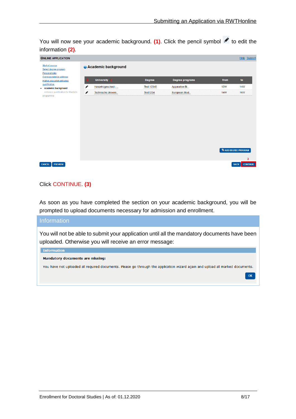You will now see your academic background. (1). Click the pencil symbol to edit the information **(2)**.

| <b>ONLINE APPLICATION</b>                                  |   |                            |                   |                        |                              | Help Support                   |
|------------------------------------------------------------|---|----------------------------|-------------------|------------------------|------------------------------|--------------------------------|
| Start of course<br>Select degree program<br>Personal data  |   | <b>Academic background</b> |                   |                        |                              |                                |
| Correspondence address<br><b>Higher education entrance</b> |   | University 1               | <b>Degree</b>     | <b>Degree programs</b> | from                         | to                             |
| qualification<br>• Academic background                     | ◢ | Hanzehogeschool -          | <b>Test 12345</b> | Apparative Bi          | <b>12W</b>                   | <b>14W</b>                     |
| entrance qualification for Master's<br>programme           | ℐ | Technische Univers         | <b>Test1234</b>   | European Stud          | <b>14W</b>                   | <b>16W</b>                     |
|                                                            |   |                            |                   |                        | <b>Fa ADD DEGREE PROGRAM</b> |                                |
|                                                            |   |                            |                   |                        |                              | 3                              |
| <b>PREVIEW</b><br><b>CANCEL</b>                            |   |                            |                   |                        |                              | <b>CONTINUE</b><br><b>BACK</b> |

#### Click CONTINUE. **(3)**

As soon as you have completed the section on your academic background, you will be prompted to upload documents necessary for admission and enrollment.

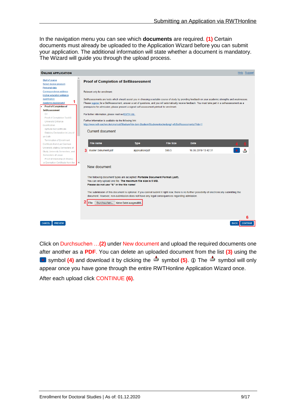In the navigation menu you can see which **documents** are required. **(1)** Certain documents must already be uploaded to the Application Wizard before you can submit your application. The additional information will state whether a document is mandatory. The Wizard will guide you through the upload process.

| <b>ONLINE APPLICATION</b>                                                                            |                                                                                                                                                                                                    |                                                                                                                                             |                           |                                                                                                                                                                                                                                                                                                                         | Help Support     |
|------------------------------------------------------------------------------------------------------|----------------------------------------------------------------------------------------------------------------------------------------------------------------------------------------------------|---------------------------------------------------------------------------------------------------------------------------------------------|---------------------------|-------------------------------------------------------------------------------------------------------------------------------------------------------------------------------------------------------------------------------------------------------------------------------------------------------------------------|------------------|
| Start of course<br>Select degree program                                                             | <b>Proof of Completion of SelfAssessment</b>                                                                                                                                                       |                                                                                                                                             |                           |                                                                                                                                                                                                                                                                                                                         |                  |
| Personal data<br>Correspondence address<br><b>Higher education entrance</b>                          | Relevant only for enrollment:                                                                                                                                                                      |                                                                                                                                             |                           |                                                                                                                                                                                                                                                                                                                         |                  |
| qualification<br>Academic background<br><b>Proof of Completion of</b>                                | prerequisite for admission; please present a signed self-assessment printout for enrolment.                                                                                                        |                                                                                                                                             |                           | SelfAssessments are tests which should assist you in choosing a suitable course of study by providing feedback on your academic strengths and weaknesses.<br>Please register for a SelfAssessment, answer a set of questions, and you will automatically receive feedback. You must take part in a self-assessment as a |                  |
| <b>SelfAssessment</b><br><b>CV</b><br>Proof of Completion TestAS                                     | For further information, please read ourRWTH-Info.                                                                                                                                                 |                                                                                                                                             |                           |                                                                                                                                                                                                                                                                                                                         |                  |
| <b>University Entrance</b><br>Qualification<br>Aptitude test certificate                             | Further information is available via the following link:<br>http://www.rwth-aachen.de/cms/root/Studium/Vor-dem-Studium/Studienentscheidung/~eft/SelfAssessments/?lidx=1<br><b>Current document</b> |                                                                                                                                             |                           |                                                                                                                                                                                                                                                                                                                         |                  |
| Statutory Declaration in Lieu of<br>an Oath<br><b>Termination of Enrollment</b>                      |                                                                                                                                                                                                    |                                                                                                                                             |                           |                                                                                                                                                                                                                                                                                                                         |                  |
| Certificate from Last German<br>University, stating Semesters of<br>Study, University Semesters, and | <b>File name</b><br>3<br>Muster Dokument.pdf                                                                                                                                                       | <b>Type</b><br>application/pdf                                                                                                              | <b>File Size</b><br>590,5 | <b>Date</b><br>16.05.2019 13:42:31                                                                                                                                                                                                                                                                                      |                  |
| Semesters of Leave<br>Proof of Internship (4 Weeks)<br>or Exemption Certificate from the             | $\checkmark$<br>New document                                                                                                                                                                       |                                                                                                                                             |                           |                                                                                                                                                                                                                                                                                                                         |                  |
|                                                                                                      | Please do not use "&" in the file name!                                                                                                                                                            | The following document types are accepted: Portable Document Format (.pdf).<br>You can only upload one file. The maximum file size is 5 MB. |                           |                                                                                                                                                                                                                                                                                                                         |                  |
|                                                                                                      |                                                                                                                                                                                                    | document. However, non-submission does not have any legal consequences regarding admission.                                                 |                           | The submission of this document is optional. If you cannot submit it right now, there is no further possibility of electronically submitting the                                                                                                                                                                        |                  |
|                                                                                                      | Durchsuchen<br>File                                                                                                                                                                                | Keine Datei ausgewählt.                                                                                                                     |                           |                                                                                                                                                                                                                                                                                                                         |                  |
| <b>CANCEL</b>                                                                                        |                                                                                                                                                                                                    |                                                                                                                                             |                           |                                                                                                                                                                                                                                                                                                                         | ჩ<br><b>BACK</b> |
| <b>PREVIEW</b>                                                                                       |                                                                                                                                                                                                    |                                                                                                                                             |                           |                                                                                                                                                                                                                                                                                                                         | <b>CONTINUE</b>  |

Click on Durchsuchen …**(2)** under New document and upload the required documents one after another as a **PDF**. You can delete an uploaded document from the list **(3)** using the **x** symbol (4) and download it by clicking the  $\stackrel{\triangle}{=}$  symbol (5).  $\oplus$  The  $\stackrel{\triangle}{=}$  symbol will only appear once you have gone through the entire RWTHonline Application Wizard once. After each upload click CONTINUE **(6)**.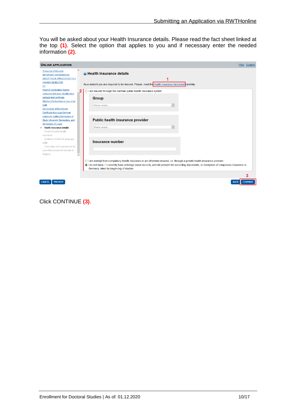You will be asked about your Health Insurance details. Please read the fact sheet linked at the top **(1)**. Select the option that applies to you and if necessary enter the needed information **(2)**.

| <b>ONLINE APPLICATION</b>                                         |                                                                                                                                                                                                                                                                                                                                  | Help Support    |
|-------------------------------------------------------------------|----------------------------------------------------------------------------------------------------------------------------------------------------------------------------------------------------------------------------------------------------------------------------------------------------------------------------------|-----------------|
| ۸<br><b>Transcript of Records</b><br><b>IMPORTANT INFORMATION</b> | <b>O</b> Health Insurance details                                                                                                                                                                                                                                                                                                |                 |
| ABOUT YOUR APPLICATION TO A                                       |                                                                                                                                                                                                                                                                                                                                  |                 |
| <b>HIGHER SEMESTER</b><br>CV                                      | As a student you are required to be insured. Please, read the Health insurance fact sheet carefully.                                                                                                                                                                                                                             |                 |
| <b>Proof of Completion TestAS</b>                                 | O I am insured through the German public health insurance system:<br>2                                                                                                                                                                                                                                                           |                 |
| University Entrance Qualification<br>Aptitude test certificate    | Group                                                                                                                                                                                                                                                                                                                            |                 |
| <b>Statutory Declaration in Lieu of an</b>                        |                                                                                                                                                                                                                                                                                                                                  |                 |
| Oath<br><b>Termination of Enrollment</b>                          | Please select                                                                                                                                                                                                                                                                                                                    |                 |
| Certificate from Last German                                      |                                                                                                                                                                                                                                                                                                                                  |                 |
| University, stating Semesters of                                  |                                                                                                                                                                                                                                                                                                                                  |                 |
| Study, University Semesters, and                                  | Public health insurance provider                                                                                                                                                                                                                                                                                                 |                 |
| <b>Semesters of Leave</b>                                         |                                                                                                                                                                                                                                                                                                                                  |                 |
| <b>Health Insurance details</b>                                   | Please select                                                                                                                                                                                                                                                                                                                    |                 |
| Proof of student health<br>insurance                              |                                                                                                                                                                                                                                                                                                                                  |                 |
| Evidence of German language                                       |                                                                                                                                                                                                                                                                                                                                  |                 |
| skills                                                            | Insurance number                                                                                                                                                                                                                                                                                                                 |                 |
| Translation of Documents to be                                    |                                                                                                                                                                                                                                                                                                                                  |                 |
| submitted (unless in German or                                    |                                                                                                                                                                                                                                                                                                                                  |                 |
| English)<br>$\checkmark$                                          |                                                                                                                                                                                                                                                                                                                                  |                 |
|                                                                   | $\bigcirc$ I am exempt from compulsory health insurance or am otherwise insured, i.e. through a private health insurance provider.<br>1 do not know. / I currently have a foreign social security, and will present the according documents, or exemption of compulsory insurance in<br>Germany, latest by beginning of studies. |                 |
|                                                                   |                                                                                                                                                                                                                                                                                                                                  | 3               |
| <b>CANCEL</b><br><b>PREVIEW</b>                                   | <b>BACK</b>                                                                                                                                                                                                                                                                                                                      | <b>CONTINUE</b> |

Click CONTINUE **(3)**.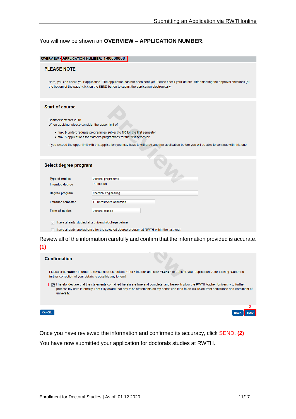#### You will now be shown an **OVERVIEW – APPLICATION NUMBER**.

| OVERVIEW - APPLICATION NUMBER: 1-00000068                                                          |                                                                                                                                                                                                                                                                                                       |
|----------------------------------------------------------------------------------------------------|-------------------------------------------------------------------------------------------------------------------------------------------------------------------------------------------------------------------------------------------------------------------------------------------------------|
| <b>PLEASE NOTE</b>                                                                                 |                                                                                                                                                                                                                                                                                                       |
|                                                                                                    | Here, you can check your application. The application has not been sent yet. Please check your details. After marking the approval checkbox (at<br>the bottom of the page) click on the SEND button to submit the application electronically.                                                         |
| <b>Start of course</b><br>Sommersemester 2018<br>When applying, please consider the upper limit of | • max. 9 undergraduate programmes subject to NC for the first semester<br>. max. 5 applications for Master's programmes for the first semester<br>If you exceed the upper limit with this application you may have to withdraw another application before you will be able to continue with this one. |
| Select degree program                                                                              |                                                                                                                                                                                                                                                                                                       |
| <b>Type of studies</b>                                                                             | Doctoral programme                                                                                                                                                                                                                                                                                    |
| Intended degree                                                                                    | Promotion                                                                                                                                                                                                                                                                                             |
| Degree program                                                                                     | <b>Chemical Engineering</b>                                                                                                                                                                                                                                                                           |
| <b>Entrance semester</b>                                                                           | 1 - Unrestricted admission                                                                                                                                                                                                                                                                            |
| <b>Form of studies</b>                                                                             | Doctoral studies                                                                                                                                                                                                                                                                                      |
|                                                                                                    | I have already studied at a university/college before.                                                                                                                                                                                                                                                |
|                                                                                                    | I have already applied once for the selected degree program at RWTH within the last year.                                                                                                                                                                                                             |
|                                                                                                    | Review all of the information carefully and confirm that the information provided is accurate.                                                                                                                                                                                                        |



Once you have reviewed the information and confirmed its accuracy, click SEND. **(2)** You have now submitted your application for doctorals studies at RWTH.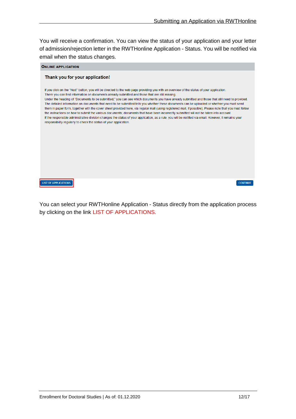You will receive a confirmation. You can view the status of your application and your letter of admission/rejection letter in the RWTHonline Application - Status. You will be notified via email when the status changes.

| <b>ONLINE APPLICATION</b>                                                                                                                                                                                                                                                                                                                                                                                                                                                                                                                                                                                                                                                                                                                                                                                                                                                                                                                                                                                                                                                           |
|-------------------------------------------------------------------------------------------------------------------------------------------------------------------------------------------------------------------------------------------------------------------------------------------------------------------------------------------------------------------------------------------------------------------------------------------------------------------------------------------------------------------------------------------------------------------------------------------------------------------------------------------------------------------------------------------------------------------------------------------------------------------------------------------------------------------------------------------------------------------------------------------------------------------------------------------------------------------------------------------------------------------------------------------------------------------------------------|
| Thank you for your application!                                                                                                                                                                                                                                                                                                                                                                                                                                                                                                                                                                                                                                                                                                                                                                                                                                                                                                                                                                                                                                                     |
| If you click on the "Next" button, you will be directed to the web page providing you with an overview of the status of your application.<br>There you can find information on documents already submitted and those that are still missing.<br>Under the heading of "Documents to be submitted," you can see which documents you have already submitted and those that still need to provided.<br>The detailed information on documents that need to be submitted tells you whether these documents can be uploaded or whether you must send<br>them in paper form, together with the cover sheet provided here, via regular mail (using registered mail, if possible). Please note that you must follow<br>the instructions on how to submit the various documents; documents that have been incorrectly submitted will not be taken into account.<br>If the responsible administrative division changes the status of your application, as a rule, you will be notified via email. However, it remains your<br>responsibility regularly to check the status of your application. |
| <b>LIST OF APPLICATIONS</b><br><b>CONTINUE</b>                                                                                                                                                                                                                                                                                                                                                                                                                                                                                                                                                                                                                                                                                                                                                                                                                                                                                                                                                                                                                                      |

You can select your RWTHonline Application - Status directly from the application process by clicking on the link LIST OF APPLICATIONS.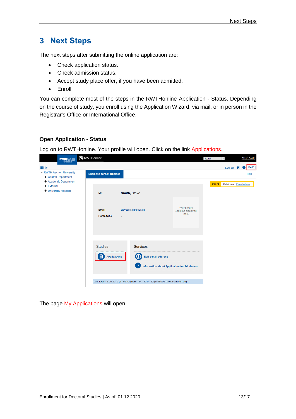# **3 Next Steps**

The next steps after submitting the online application are:

- Check application status.
- Check admission status.
- Accept study place offer, if you have been admitted.
- Enroll

You can complete most of the steps in the RWTHonline Application - Status. Depending on the course of study, you enroll using the Application Wizard, via mail, or in person in the Registrar's Office or International Office.

## **Open Application - Status**

Log on to RWTHonline. Your profile will open. Click on the link Applications.



The page My Applications will open.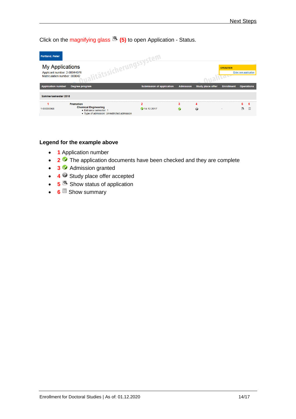Click on the magnifying glass **(5)** to open Application - Status.

| <b>Portland, Peter</b>                                                                 |                                                                                                                        |                                  |                  |                          |                                  |               |                       |
|----------------------------------------------------------------------------------------|------------------------------------------------------------------------------------------------------------------------|----------------------------------|------------------|--------------------------|----------------------------------|---------------|-----------------------|
| <b>My Applications</b><br>Applicant number: 2-00044076<br>Matriculation number: 000042 | <b>indissicherungssystem</b>                                                                                           |                                  |                  |                          | <b>OPERATION</b><br><b>VILOP</b> |               | Enter new application |
| <b>Application number</b>                                                              | Degree program                                                                                                         | <b>Submission of application</b> | <b>Admission</b> | <b>Study place offer</b> | <b>Enrollment</b>                |               | <b>Operations</b>     |
| Sommersemester 2018                                                                    |                                                                                                                        |                                  |                  |                          |                                  |               |                       |
| 1-00000068                                                                             | <b>Promotion</b><br><b>Chemical Engineering</b><br>Entrance semester: 1<br>• Type of admission: Unrestricted admission | o<br>14.12.2017                  | 3<br>Ø           | 0                        |                                  | 5<br>$\alpha$ | 6<br>F                |

# **Legend for the example above**

- **1** Application number
- **2 <sup>2</sup>** The application documents have been checked and they are complete
- **3** Admission granted
- **4** Study place offer accepted
- **5 5** Show status of application
- **6** Show summary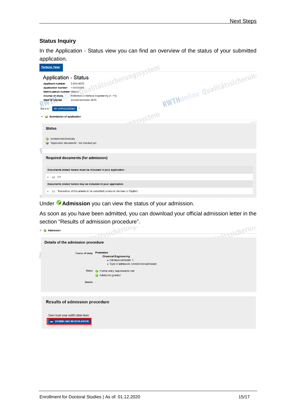## **Status Inquiry**

In the Application - Status view you can find an overview of the status of your submitted application.

| <b>Portland, Peter</b>                                                                                                                                                                                                                                                                                                                                        |                               |
|---------------------------------------------------------------------------------------------------------------------------------------------------------------------------------------------------------------------------------------------------------------------------------------------------------------------------------------------------------------|-------------------------------|
| litätssicherungssystem<br><b>Application - Status</b><br>2-00044076<br><b>Applicant number</b><br>1-00000068<br><b>Application number</b><br><b>Matriculation number 000042</b><br><b>Course of study</b><br>Promotion   Chemical Engineering (1. FS)<br><b>Start of course</b><br>Sommersemester 2018<br><b>MY APPLICATIONS</b><br>$\mathbf{u}$<br>Back to " | RWTHonline Qualitätssicherung |
| massystem<br><b>Submission of application</b>                                                                                                                                                                                                                                                                                                                 | $-100$                        |
| <b>Status</b>                                                                                                                                                                                                                                                                                                                                                 |                               |
| received electronically<br><sup>2</sup> "Application documents": not checked yet.                                                                                                                                                                                                                                                                             |                               |
| <b>Required documents (for admission)</b>                                                                                                                                                                                                                                                                                                                     |                               |
| Documents stated herein must be included in your application                                                                                                                                                                                                                                                                                                  |                               |
| $\boxdot$ CV<br>Þ.                                                                                                                                                                                                                                                                                                                                            |                               |
| Documents stated herein may be included in your application                                                                                                                                                                                                                                                                                                   |                               |
| Translation of Documents to be submitted (unless in German or English)<br>罓                                                                                                                                                                                                                                                                                   |                               |

Under **Admission** you can view the status of your admission.

As soon as you have been admitted, you can download your official admission letter in the section "Results of admission procedure".

| v | <b>Admission</b>                                                      | <b>WEITSSIERERUND</b>                                                                                         | <b>WESTSSICHEFUN</b> |
|---|-----------------------------------------------------------------------|---------------------------------------------------------------------------------------------------------------|----------------------|
|   | Details of the admission procedure                                    |                                                                                                               |                      |
|   | <b>Course of study</b>                                                | Promotion<br><b>Chemical Engineering</b><br>Entrance semester: 1<br>Type of admission: Unrestricted admission |                      |
|   | <b>Status</b>                                                         | Formal entry requirements met                                                                                 |                      |
|   |                                                                       | Admission granted                                                                                             |                      |
|   | Details -                                                             |                                                                                                               |                      |
|   | <b>Results of admission procedure</b>                                 |                                                                                                               |                      |
|   | Download your notification here.<br><b>DOWNLOAD NOTIFICATION</b><br>ዹ |                                                                                                               |                      |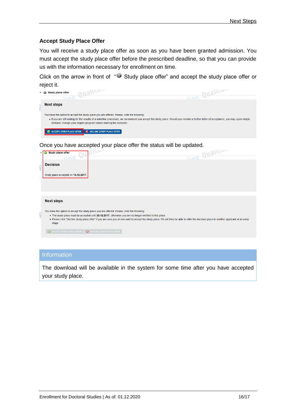## **Accept Study Place Offer**

You will receive a study place offer as soon as you have been granted admission. You must accept the study place offer before the prescribed deadline, so that you can provide us with the information necessary for enrollment on time.

Click on the arrow in front of "<sup>3</sup> Study place offer" and accept the study place offer or reject it.

| - 62 | Study place offer |                                                                                                                                                                |                                                                                                                                                                                        |
|------|-------------------|----------------------------------------------------------------------------------------------------------------------------------------------------------------|----------------------------------------------------------------------------------------------------------------------------------------------------------------------------------------|
|      | <b>110P</b>       |                                                                                                                                                                | <b>SAP</b>                                                                                                                                                                             |
|      | <b>Next steps</b> |                                                                                                                                                                |                                                                                                                                                                                        |
|      |                   | You have the option to accept the study place you are offered. Please, note the following:<br>demand, change your degree program before starting the semester. | . If you are still waiting for the results of a selection procedure, we recommend you accept this study place. Should you receive a further letter of acceptance, you may, upon simple |
|      |                   | ACCEPT STUDY PLACE OFFER <b>X</b> DECLINE STUDY PLACE OFFER                                                                                                    |                                                                                                                                                                                        |

Once you have accepted your place offer the status will be updated.

| <b>Illas</b><br><b>Study place offer</b><br><b>Snil</b>                                                                                                                                                                                                                                                       | line Qualito- |
|---------------------------------------------------------------------------------------------------------------------------------------------------------------------------------------------------------------------------------------------------------------------------------------------------------------|---------------|
| <b>Decision</b>                                                                                                                                                                                                                                                                                               |               |
| Study place accepted on 13.12.2017.                                                                                                                                                                                                                                                                           |               |
|                                                                                                                                                                                                                                                                                                               |               |
|                                                                                                                                                                                                                                                                                                               |               |
| <b>Next steps</b>                                                                                                                                                                                                                                                                                             |               |
| You have the option to accept the study place you are offered. Please, note the following:                                                                                                                                                                                                                    |               |
| . The study place must be accepted until 20.12.2017, otherwise you are no longer entitled to this place.<br>. Please click "Decline study place offer" if you are sure you do not want to accept the study place. We will then be able to offer the declined place to another applicant at an early<br>stage. |               |
| A ACCEPT STUDY PLACE OFFER <b>8</b> DECLINE STUDY PLACE OFFER                                                                                                                                                                                                                                                 |               |

## **Information**

The download will be available in the system for some time after you have accepted your study place.